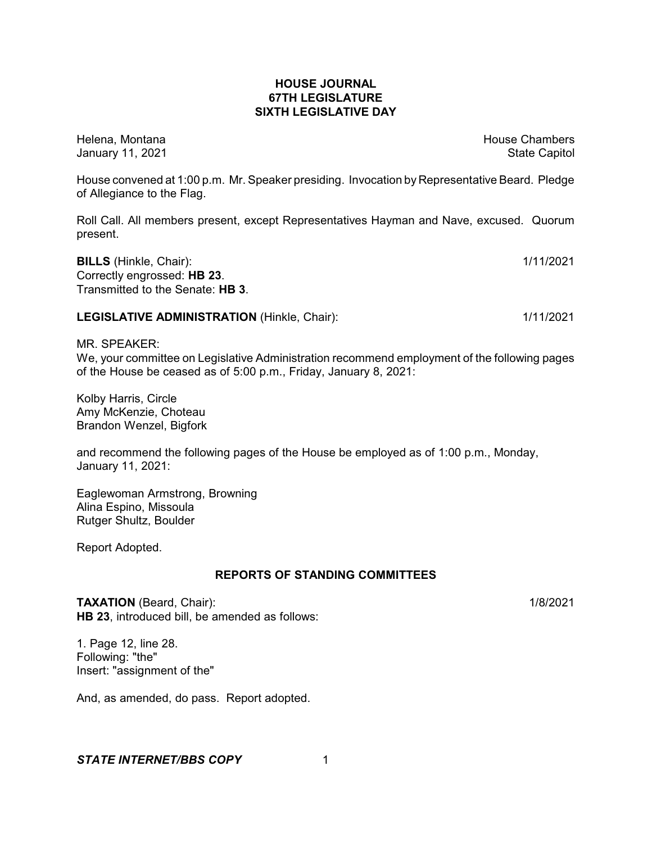## **HOUSE JOURNAL 67TH LEGISLATURE SIXTH LEGISLATIVE DAY**

Helena, Montana House Chambers Chambers Chambers and House Chambers Chambers Chambers Chambers Chambers Chambers Chambers Chambers Chambers Chambers Chambers Chambers Chambers Chambers Chambers Chambers Chambers Chambers C January 11, 2021 **State Capitol** 

House convened at 1:00 p.m. Mr. Speaker presiding. Invocation by Representative Beard. Pledge of Allegiance to the Flag.

Roll Call. All members present, except Representatives Hayman and Nave, excused. Quorum present.

**BILLS** (Hinkle, Chair): 1/11/2021 Correctly engrossed: **HB 23**. Transmitted to the Senate: **HB 3**.

#### **LEGISLATIVE ADMINISTRATION** (Hinkle, Chair): 1/11/2021 1/11/2021

MR. SPEAKER:

We, your committee on Legislative Administration recommend employment of the following pages of the House be ceased as of 5:00 p.m., Friday, January 8, 2021:

Kolby Harris, Circle Amy McKenzie, Choteau Brandon Wenzel, Bigfork

and recommend the following pages of the House be employed as of 1:00 p.m., Monday, January 11, 2021:

Eaglewoman Armstrong, Browning Alina Espino, Missoula Rutger Shultz, Boulder

Report Adopted.

# **REPORTS OF STANDING COMMITTEES**

TAXATION (Beard, Chair): 1/8/2021 **HB 23**, introduced bill, be amended as follows:

1. Page 12, line 28. Following: "the" Insert: "assignment of the"

And, as amended, do pass. Report adopted.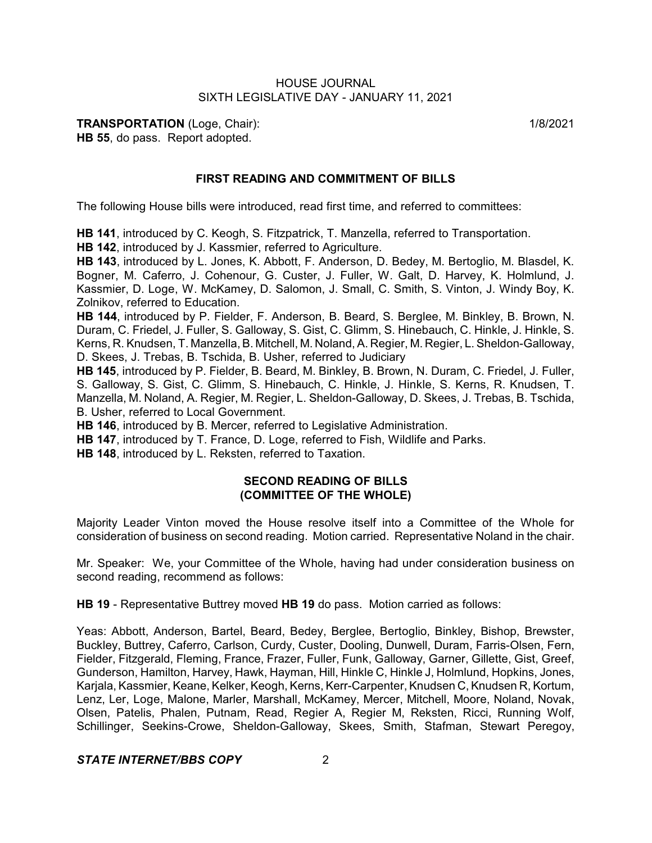**TRANSPORTATION** (Loge, Chair): 1/8/2021 **HB 55**, do pass. Report adopted.

#### **FIRST READING AND COMMITMENT OF BILLS**

The following House bills were introduced, read first time, and referred to committees:

**HB 141**, introduced by C. Keogh, S. Fitzpatrick, T. Manzella, referred to Transportation.

**HB 142**, introduced by J. Kassmier, referred to Agriculture.

**HB 143**, introduced by L. Jones, K. Abbott, F. Anderson, D. Bedey, M. Bertoglio, M. Blasdel, K. Bogner, M. Caferro, J. Cohenour, G. Custer, J. Fuller, W. Galt, D. Harvey, K. Holmlund, J. Kassmier, D. Loge, W. McKamey, D. Salomon, J. Small, C. Smith, S. Vinton, J. Windy Boy, K. Zolnikov, referred to Education.

**HB 144**, introduced by P. Fielder, F. Anderson, B. Beard, S. Berglee, M. Binkley, B. Brown, N. Duram, C. Friedel, J. Fuller, S. Galloway, S. Gist, C. Glimm, S. Hinebauch, C. Hinkle, J. Hinkle, S. Kerns, R. Knudsen, T. Manzella, B. Mitchell, M. Noland, A. Regier, M. Regier, L. Sheldon-Galloway, D. Skees, J. Trebas, B. Tschida, B. Usher, referred to Judiciary

**HB 145**, introduced by P. Fielder, B. Beard, M. Binkley, B. Brown, N. Duram, C. Friedel, J. Fuller, S. Galloway, S. Gist, C. Glimm, S. Hinebauch, C. Hinkle, J. Hinkle, S. Kerns, R. Knudsen, T. Manzella, M. Noland, A. Regier, M. Regier, L. Sheldon-Galloway, D. Skees, J. Trebas, B. Tschida, B. Usher, referred to Local Government.

**HB 146**, introduced by B. Mercer, referred to Legislative Administration.

**HB 147**, introduced by T. France, D. Loge, referred to Fish, Wildlife and Parks.

**HB 148**, introduced by L. Reksten, referred to Taxation.

## **SECOND READING OF BILLS (COMMITTEE OF THE WHOLE)**

Majority Leader Vinton moved the House resolve itself into a Committee of the Whole for consideration of business on second reading. Motion carried. Representative Noland in the chair.

Mr. Speaker: We, your Committee of the Whole, having had under consideration business on second reading, recommend as follows:

**HB 19** - Representative Buttrey moved **HB 19** do pass. Motion carried as follows:

Yeas: Abbott, Anderson, Bartel, Beard, Bedey, Berglee, Bertoglio, Binkley, Bishop, Brewster, Buckley, Buttrey, Caferro, Carlson, Curdy, Custer, Dooling, Dunwell, Duram, Farris-Olsen, Fern, Fielder, Fitzgerald, Fleming, France, Frazer, Fuller, Funk, Galloway, Garner, Gillette, Gist, Greef, Gunderson, Hamilton, Harvey, Hawk, Hayman, Hill, Hinkle C, Hinkle J, Holmlund, Hopkins, Jones, Karjala, Kassmier, Keane, Kelker, Keogh, Kerns, Kerr-Carpenter, Knudsen C, Knudsen R, Kortum, Lenz, Ler, Loge, Malone, Marler, Marshall, McKamey, Mercer, Mitchell, Moore, Noland, Novak, Olsen, Patelis, Phalen, Putnam, Read, Regier A, Regier M, Reksten, Ricci, Running Wolf, Schillinger, Seekins-Crowe, Sheldon-Galloway, Skees, Smith, Stafman, Stewart Peregoy,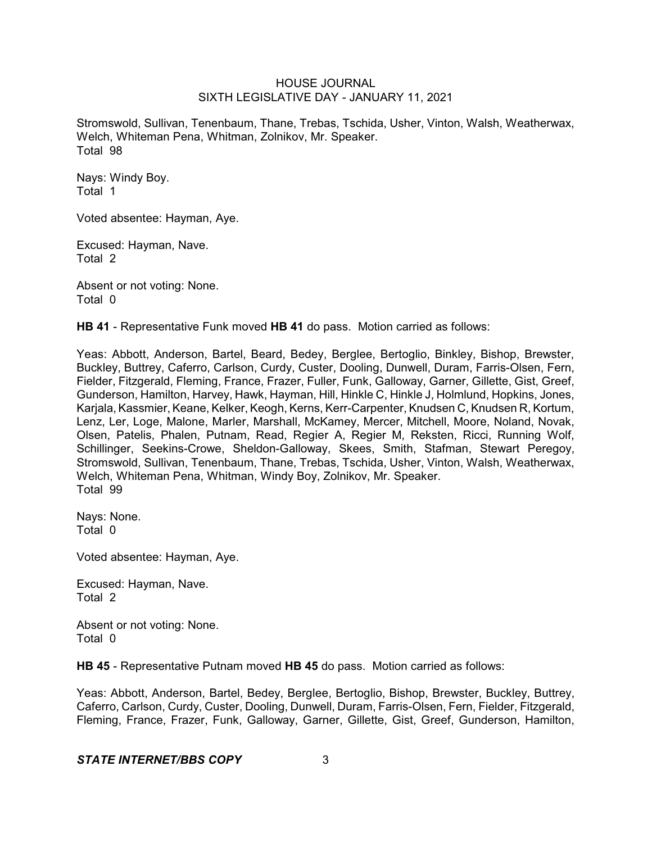Stromswold, Sullivan, Tenenbaum, Thane, Trebas, Tschida, Usher, Vinton, Walsh, Weatherwax, Welch, Whiteman Pena, Whitman, Zolnikov, Mr. Speaker. Total 98

Nays: Windy Boy. Total 1

Voted absentee: Hayman, Aye.

Excused: Hayman, Nave. Total 2

Absent or not voting: None. Total 0

**HB 41** - Representative Funk moved **HB 41** do pass. Motion carried as follows:

Yeas: Abbott, Anderson, Bartel, Beard, Bedey, Berglee, Bertoglio, Binkley, Bishop, Brewster, Buckley, Buttrey, Caferro, Carlson, Curdy, Custer, Dooling, Dunwell, Duram, Farris-Olsen, Fern, Fielder, Fitzgerald, Fleming, France, Frazer, Fuller, Funk, Galloway, Garner, Gillette, Gist, Greef, Gunderson, Hamilton, Harvey, Hawk, Hayman, Hill, Hinkle C, Hinkle J, Holmlund, Hopkins, Jones, Karjala, Kassmier, Keane, Kelker, Keogh, Kerns, Kerr-Carpenter, Knudsen C, Knudsen R, Kortum, Lenz, Ler, Loge, Malone, Marler, Marshall, McKamey, Mercer, Mitchell, Moore, Noland, Novak, Olsen, Patelis, Phalen, Putnam, Read, Regier A, Regier M, Reksten, Ricci, Running Wolf, Schillinger, Seekins-Crowe, Sheldon-Galloway, Skees, Smith, Stafman, Stewart Peregoy, Stromswold, Sullivan, Tenenbaum, Thane, Trebas, Tschida, Usher, Vinton, Walsh, Weatherwax, Welch, Whiteman Pena, Whitman, Windy Boy, Zolnikov, Mr. Speaker. Total 99

Nays: None. Total 0

Voted absentee: Hayman, Aye.

Excused: Hayman, Nave. Total 2

Absent or not voting: None. Total 0

**HB 45** - Representative Putnam moved **HB 45** do pass. Motion carried as follows:

Yeas: Abbott, Anderson, Bartel, Bedey, Berglee, Bertoglio, Bishop, Brewster, Buckley, Buttrey, Caferro, Carlson, Curdy, Custer, Dooling, Dunwell, Duram, Farris-Olsen, Fern, Fielder, Fitzgerald, Fleming, France, Frazer, Funk, Galloway, Garner, Gillette, Gist, Greef, Gunderson, Hamilton,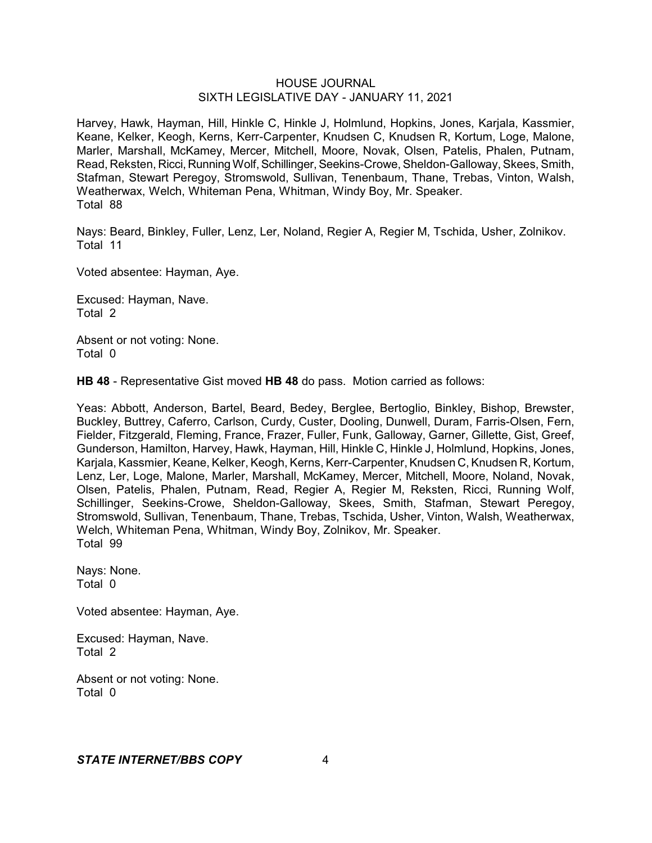Harvey, Hawk, Hayman, Hill, Hinkle C, Hinkle J, Holmlund, Hopkins, Jones, Karjala, Kassmier, Keane, Kelker, Keogh, Kerns, Kerr-Carpenter, Knudsen C, Knudsen R, Kortum, Loge, Malone, Marler, Marshall, McKamey, Mercer, Mitchell, Moore, Novak, Olsen, Patelis, Phalen, Putnam, Read, Reksten, Ricci, Running Wolf, Schillinger, Seekins-Crowe, Sheldon-Galloway, Skees, Smith, Stafman, Stewart Peregoy, Stromswold, Sullivan, Tenenbaum, Thane, Trebas, Vinton, Walsh, Weatherwax, Welch, Whiteman Pena, Whitman, Windy Boy, Mr. Speaker. Total 88

Nays: Beard, Binkley, Fuller, Lenz, Ler, Noland, Regier A, Regier M, Tschida, Usher, Zolnikov. Total 11

Voted absentee: Hayman, Aye.

Excused: Hayman, Nave. Total 2

Absent or not voting: None. Total 0

**HB 48** - Representative Gist moved **HB 48** do pass. Motion carried as follows:

Yeas: Abbott, Anderson, Bartel, Beard, Bedey, Berglee, Bertoglio, Binkley, Bishop, Brewster, Buckley, Buttrey, Caferro, Carlson, Curdy, Custer, Dooling, Dunwell, Duram, Farris-Olsen, Fern, Fielder, Fitzgerald, Fleming, France, Frazer, Fuller, Funk, Galloway, Garner, Gillette, Gist, Greef, Gunderson, Hamilton, Harvey, Hawk, Hayman, Hill, Hinkle C, Hinkle J, Holmlund, Hopkins, Jones, Karjala, Kassmier, Keane, Kelker, Keogh, Kerns, Kerr-Carpenter, Knudsen C, Knudsen R, Kortum, Lenz, Ler, Loge, Malone, Marler, Marshall, McKamey, Mercer, Mitchell, Moore, Noland, Novak, Olsen, Patelis, Phalen, Putnam, Read, Regier A, Regier M, Reksten, Ricci, Running Wolf, Schillinger, Seekins-Crowe, Sheldon-Galloway, Skees, Smith, Stafman, Stewart Peregoy, Stromswold, Sullivan, Tenenbaum, Thane, Trebas, Tschida, Usher, Vinton, Walsh, Weatherwax, Welch, Whiteman Pena, Whitman, Windy Boy, Zolnikov, Mr. Speaker. Total 99

Nays: None. Total 0

Voted absentee: Hayman, Aye.

Excused: Hayman, Nave. Total 2

Absent or not voting: None. Total 0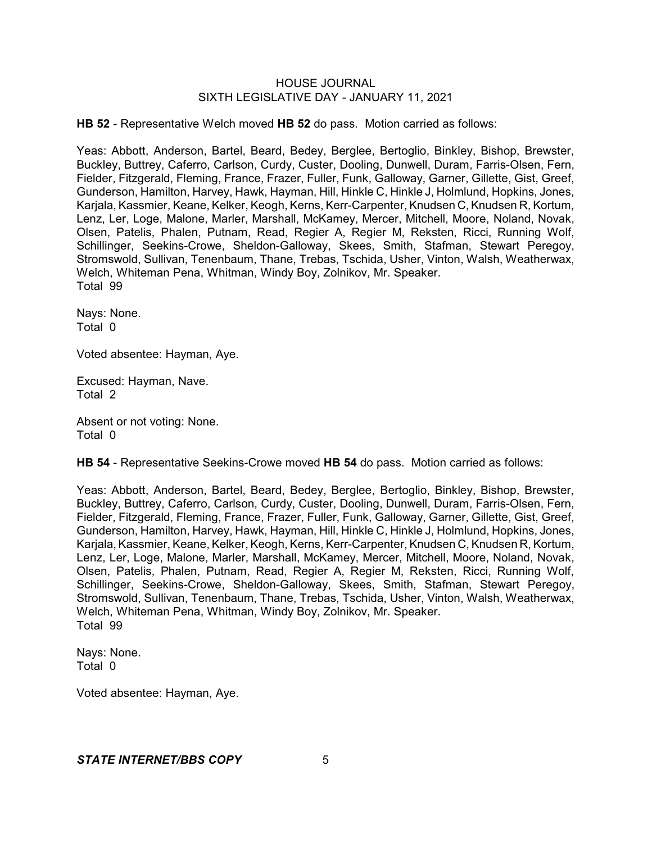**HB 52** - Representative Welch moved **HB 52** do pass. Motion carried as follows:

Yeas: Abbott, Anderson, Bartel, Beard, Bedey, Berglee, Bertoglio, Binkley, Bishop, Brewster, Buckley, Buttrey, Caferro, Carlson, Curdy, Custer, Dooling, Dunwell, Duram, Farris-Olsen, Fern, Fielder, Fitzgerald, Fleming, France, Frazer, Fuller, Funk, Galloway, Garner, Gillette, Gist, Greef, Gunderson, Hamilton, Harvey, Hawk, Hayman, Hill, Hinkle C, Hinkle J, Holmlund, Hopkins, Jones, Karjala, Kassmier, Keane, Kelker, Keogh, Kerns, Kerr-Carpenter, Knudsen C, Knudsen R, Kortum, Lenz, Ler, Loge, Malone, Marler, Marshall, McKamey, Mercer, Mitchell, Moore, Noland, Novak, Olsen, Patelis, Phalen, Putnam, Read, Regier A, Regier M, Reksten, Ricci, Running Wolf, Schillinger, Seekins-Crowe, Sheldon-Galloway, Skees, Smith, Stafman, Stewart Peregoy, Stromswold, Sullivan, Tenenbaum, Thane, Trebas, Tschida, Usher, Vinton, Walsh, Weatherwax, Welch, Whiteman Pena, Whitman, Windy Boy, Zolnikov, Mr. Speaker. Total 99

Nays: None. Total 0

Voted absentee: Hayman, Aye.

Excused: Hayman, Nave. Total 2

Absent or not voting: None. Total 0

**HB 54** - Representative Seekins-Crowe moved **HB 54** do pass. Motion carried as follows:

Yeas: Abbott, Anderson, Bartel, Beard, Bedey, Berglee, Bertoglio, Binkley, Bishop, Brewster, Buckley, Buttrey, Caferro, Carlson, Curdy, Custer, Dooling, Dunwell, Duram, Farris-Olsen, Fern, Fielder, Fitzgerald, Fleming, France, Frazer, Fuller, Funk, Galloway, Garner, Gillette, Gist, Greef, Gunderson, Hamilton, Harvey, Hawk, Hayman, Hill, Hinkle C, Hinkle J, Holmlund, Hopkins, Jones, Karjala, Kassmier, Keane, Kelker, Keogh, Kerns, Kerr-Carpenter, Knudsen C, Knudsen R, Kortum, Lenz, Ler, Loge, Malone, Marler, Marshall, McKamey, Mercer, Mitchell, Moore, Noland, Novak, Olsen, Patelis, Phalen, Putnam, Read, Regier A, Regier M, Reksten, Ricci, Running Wolf, Schillinger, Seekins-Crowe, Sheldon-Galloway, Skees, Smith, Stafman, Stewart Peregoy, Stromswold, Sullivan, Tenenbaum, Thane, Trebas, Tschida, Usher, Vinton, Walsh, Weatherwax, Welch, Whiteman Pena, Whitman, Windy Boy, Zolnikov, Mr. Speaker. Total 99

Nays: None. Total 0

Voted absentee: Hayman, Aye.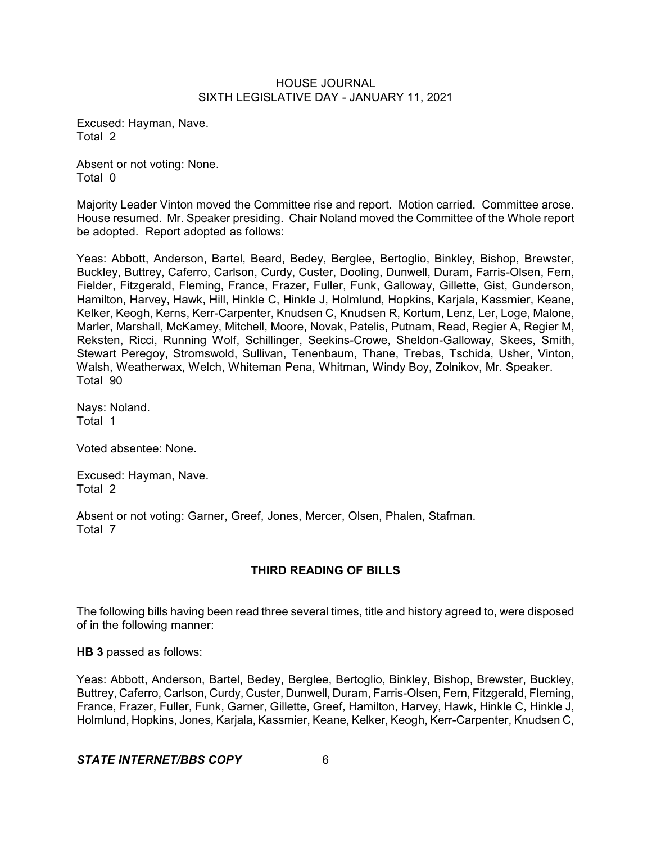Excused: Hayman, Nave. Total 2

Absent or not voting: None. Total 0

Majority Leader Vinton moved the Committee rise and report. Motion carried. Committee arose. House resumed. Mr. Speaker presiding. Chair Noland moved the Committee of the Whole report be adopted. Report adopted as follows:

Yeas: Abbott, Anderson, Bartel, Beard, Bedey, Berglee, Bertoglio, Binkley, Bishop, Brewster, Buckley, Buttrey, Caferro, Carlson, Curdy, Custer, Dooling, Dunwell, Duram, Farris-Olsen, Fern, Fielder, Fitzgerald, Fleming, France, Frazer, Fuller, Funk, Galloway, Gillette, Gist, Gunderson, Hamilton, Harvey, Hawk, Hill, Hinkle C, Hinkle J, Holmlund, Hopkins, Karjala, Kassmier, Keane, Kelker, Keogh, Kerns, Kerr-Carpenter, Knudsen C, Knudsen R, Kortum, Lenz, Ler, Loge, Malone, Marler, Marshall, McKamey, Mitchell, Moore, Novak, Patelis, Putnam, Read, Regier A, Regier M, Reksten, Ricci, Running Wolf, Schillinger, Seekins-Crowe, Sheldon-Galloway, Skees, Smith, Stewart Peregoy, Stromswold, Sullivan, Tenenbaum, Thane, Trebas, Tschida, Usher, Vinton, Walsh, Weatherwax, Welch, Whiteman Pena, Whitman, Windy Boy, Zolnikov, Mr. Speaker. Total 90

Nays: Noland. Total 1

Voted absentee: None.

Excused: Hayman, Nave. Total 2

Absent or not voting: Garner, Greef, Jones, Mercer, Olsen, Phalen, Stafman. Total 7

# **THIRD READING OF BILLS**

The following bills having been read three several times, title and history agreed to, were disposed of in the following manner:

**HB 3** passed as follows:

Yeas: Abbott, Anderson, Bartel, Bedey, Berglee, Bertoglio, Binkley, Bishop, Brewster, Buckley, Buttrey, Caferro, Carlson, Curdy, Custer, Dunwell, Duram, Farris-Olsen, Fern, Fitzgerald, Fleming, France, Frazer, Fuller, Funk, Garner, Gillette, Greef, Hamilton, Harvey, Hawk, Hinkle C, Hinkle J, Holmlund, Hopkins, Jones, Karjala, Kassmier, Keane, Kelker, Keogh, Kerr-Carpenter, Knudsen C,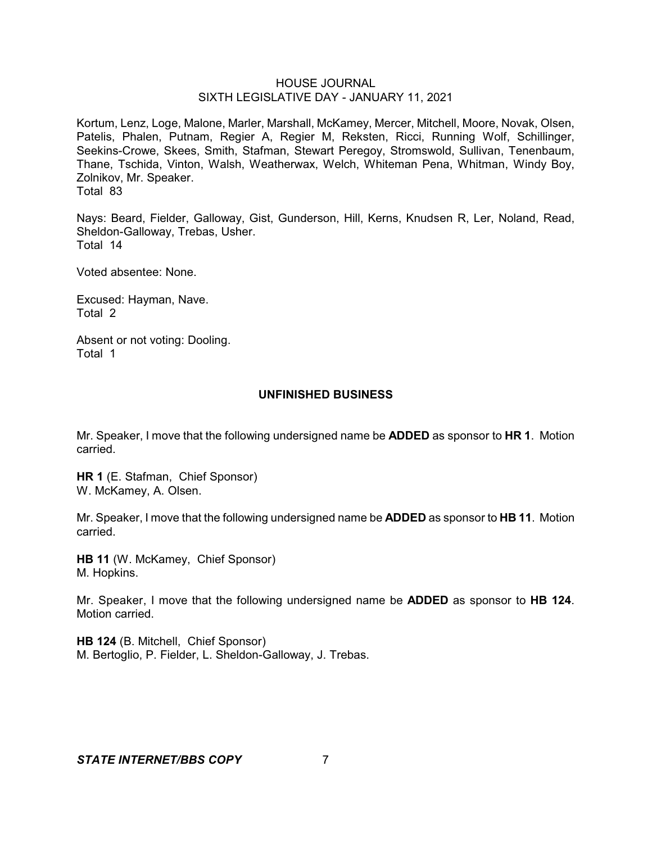Kortum, Lenz, Loge, Malone, Marler, Marshall, McKamey, Mercer, Mitchell, Moore, Novak, Olsen, Patelis, Phalen, Putnam, Regier A, Regier M, Reksten, Ricci, Running Wolf, Schillinger, Seekins-Crowe, Skees, Smith, Stafman, Stewart Peregoy, Stromswold, Sullivan, Tenenbaum, Thane, Tschida, Vinton, Walsh, Weatherwax, Welch, Whiteman Pena, Whitman, Windy Boy, Zolnikov, Mr. Speaker. Total 83

Nays: Beard, Fielder, Galloway, Gist, Gunderson, Hill, Kerns, Knudsen R, Ler, Noland, Read, Sheldon-Galloway, Trebas, Usher. Total 14

Voted absentee: None.

Excused: Hayman, Nave. Total 2

Absent or not voting: Dooling. Total 1

## **UNFINISHED BUSINESS**

Mr. Speaker, I move that the following undersigned name be **ADDED** as sponsor to **HR 1**. Motion carried.

**HR 1** (E. Stafman, Chief Sponsor) W. McKamey, A. Olsen.

Mr. Speaker, I move that the following undersigned name be **ADDED** as sponsor to **HB 11**. Motion carried.

**HB 11** (W. McKamey, Chief Sponsor) M. Hopkins.

Mr. Speaker, I move that the following undersigned name be **ADDED** as sponsor to **HB 124**. Motion carried.

**HB 124** (B. Mitchell, Chief Sponsor) M. Bertoglio, P. Fielder, L. Sheldon-Galloway, J. Trebas.